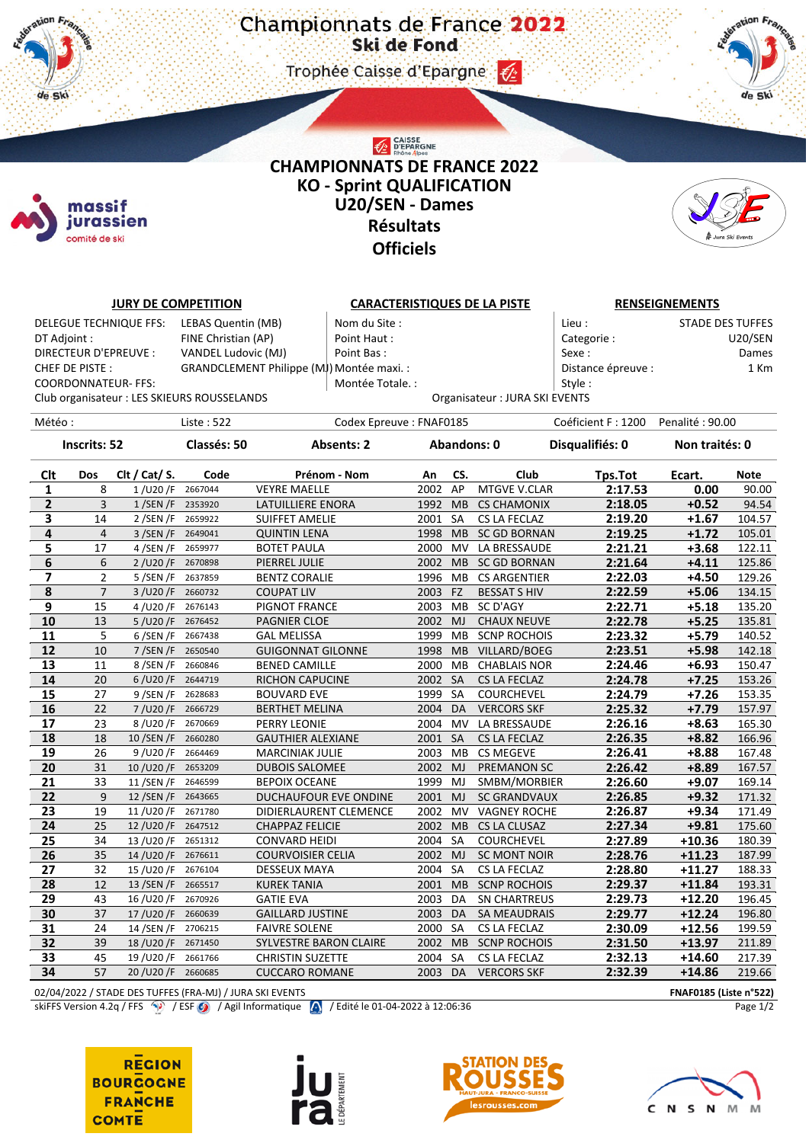Trophee Caisse d'Epargne (2)



## CAISSE<br>D'EPARGNE **CHAMPIONNATS DE FRANCE 2022 KO - Sprint QUALIFICATION U20/SEN - Dames Résultats Officiels**



|                                                                                           |                | <b>JURY DE COMPETITION</b> |                                             |                          | <b>CARACTERISTIQUES DE LA PISTE</b> |             |           |                                | <b>RENSEIGNEMENTS</b> |                         |             |  |
|-------------------------------------------------------------------------------------------|----------------|----------------------------|---------------------------------------------|--------------------------|-------------------------------------|-------------|-----------|--------------------------------|-----------------------|-------------------------|-------------|--|
| DELEGUE TECHNIQUE FFS:<br>LEBAS Quentin (MB)                                              |                |                            |                                             | Nom du Site:             |                                     |             |           | Lieu :                         |                       | <b>STADE DES TUFFES</b> |             |  |
| FINE Christian (AP)<br>DT Adjoint :                                                       |                |                            |                                             |                          | Point Haut:                         |             |           |                                | Categorie:            |                         | U20/SEN     |  |
| DIRECTEUR D'EPREUVE :<br>VANDEL Ludovic (MJ)                                              |                |                            |                                             |                          | Point Bas:                          |             |           |                                | Sexe:                 |                         | Dames       |  |
| GRANDCLEMENT Philippe (MJ) Montée maxi. :<br>CHEF DE PISTE :                              |                |                            |                                             |                          |                                     |             |           |                                | Distance épreuve :    |                         | 1 Km        |  |
|                                                                                           |                | <b>COORDONNATEUR- FFS:</b> |                                             |                          | Montée Totale. :                    |             |           |                                | Style:                |                         |             |  |
|                                                                                           |                |                            | Club organisateur : LES SKIEURS ROUSSELANDS |                          |                                     |             |           | Organisateur : JURA SKI EVENTS |                       |                         |             |  |
|                                                                                           |                |                            |                                             |                          |                                     |             |           |                                |                       |                         |             |  |
| Météo :                                                                                   |                |                            | Liste: 522                                  |                          | Codex Epreuve: FNAF0185             |             |           |                                | Coéficient F: 1200    | Penalité: 90.00         |             |  |
| <b>Inscrits: 52</b>                                                                       |                | Classés: 50                |                                             | <b>Absents: 2</b>        |                                     | Abandons: 0 |           | Disqualifiés: 0                | Non traités: 0        |                         |             |  |
| <b>Clt</b>                                                                                | Dos            | Clt / Cat/ S.              | Code                                        |                          | Prénom - Nom                        | An          | CS.       | Club                           | Tps.Tot               | Ecart.                  | <b>Note</b> |  |
| 1                                                                                         | 8              | 1/UDO/F                    | 2667044                                     | <b>VEYRE MAELLE</b>      |                                     | 2002 AP     |           | MTGVE V.CLAR                   | 2:17.53               | 0.00                    | 90.00       |  |
| $\mathbf{2}$                                                                              | 3              | 1/SEN/F 2353920            |                                             | LATUILLIERE ENORA        |                                     | 1992 MB     |           | <b>CS CHAMONIX</b>             | 2:18.05               | $+0.52$                 | 94.54       |  |
| 3                                                                                         | 14             | $2/$ SEN $/F$              | 2659922                                     | <b>SUIFFET AMELIE</b>    |                                     | 2001 SA     |           | CS LA FECLAZ                   | 2:19.20               | $+1.67$                 | 104.57      |  |
| 4                                                                                         | $\overline{4}$ | $3/$ SEN $/F$              | 2649041                                     | <b>QUINTIN LENA</b>      |                                     | 1998 MB     |           | <b>SC GD BORNAN</b>            | 2:19.25               | $+1.72$                 | 105.01      |  |
| 5                                                                                         | 17             | 4/SEN/F                    | 2659977                                     | <b>BOTET PAULA</b>       |                                     | 2000        | <b>MV</b> | LA BRESSAUDE                   | 2:21.21               | $+3.68$                 | 122.11      |  |
| 6                                                                                         | 6              | 2/U20/F 2670898            |                                             | PIERREL JULIE            |                                     | 2002 MB     |           | <b>SC GD BORNAN</b>            | 2:21.64               | $+4.11$                 | 125.86      |  |
| $\overline{\mathbf{z}}$                                                                   | $\overline{2}$ | $5/$ SEN $/F$              | 2637859                                     | <b>BENTZ CORALIE</b>     |                                     | 1996 MB     |           | <b>CS ARGENTIER</b>            | 2:22.03               | $+4.50$                 | 129.26      |  |
| $\pmb{8}$                                                                                 | $\overline{7}$ | 3/U20/F 2660732            |                                             | <b>COUPAT LIV</b>        |                                     | 2003 FZ     |           | <b>BESSAT S HIV</b>            | 2:22.59               | $+5.06$                 | 134.15      |  |
| $\boldsymbol{9}$                                                                          | 15             | 4/U20/F                    | 2676143                                     | PIGNOT FRANCE            |                                     | 2003 MB     |           | SC D'AGY                       | 2:22.71               | $+5.18$                 | 135.20      |  |
| 10                                                                                        | 13             | 5/U20/F 2676452            |                                             | PAGNIER CLOE             |                                     | 2002        | MJ        | <b>CHAUX NEUVE</b>             | 2:22.78               | $+5.25$                 | 135.81      |  |
| 11                                                                                        | 5              | 6 / SEN / F 2667438        |                                             | <b>GAL MELISSA</b>       |                                     | 1999 MB     |           | <b>SCNP ROCHOIS</b>            | 2:23.32               | $+5.79$                 | 140.52      |  |
| 12                                                                                        | 10             | 7 / SEN / F 2650540        |                                             | <b>GUIGONNAT GILONNE</b> |                                     | 1998        | MB        | VILLARD/BOEG                   | 2:23.51               | $+5.98$                 | 142.18      |  |
| 13                                                                                        | 11             | 8/SEN/F                    | 2660846                                     | <b>BENED CAMILLE</b>     |                                     | 2000 MB     |           | <b>CHABLAIS NOR</b>            | 2:24.46               | $+6.93$                 | 150.47      |  |
| 14                                                                                        | 20             | $6/$ U20/F                 | 2644719                                     | <b>RICHON CAPUCINE</b>   |                                     | 2002 SA     |           | <b>CS LA FECLAZ</b>            | 2:24.78               | $+7.25$                 | 153.26      |  |
| 15                                                                                        | 27             | 9 / SEN / F                | 2628683                                     | <b>BOUVARD EVE</b>       |                                     | 1999        | SA        | <b>COURCHEVEL</b>              | 2:24.79               | $+7.26$                 | 153.35      |  |
| 16                                                                                        | 22             | 7/U20/F 2666729            |                                             | <b>BERTHET MELINA</b>    |                                     | 2004 DA     |           | <b>VERCORS SKF</b>             | 2:25.32               | $+7.79$                 | 157.97      |  |
| 17                                                                                        | 23             | 8/U20/F                    | 2670669                                     | PERRY LEONIE             |                                     | 2004 MV     |           | LA BRESSAUDE                   | 2:26.16               | $+8.63$                 | 165.30      |  |
| 18                                                                                        | 18             | 10/SEN/F                   | 2660280                                     | <b>GAUTHIER ALEXIANE</b> |                                     | 2001 SA     |           | CS LA FECLAZ                   | 2:26.35               | $+8.82$                 | 166.96      |  |
| 19                                                                                        | 26             | 9/U20/F                    | 2664469                                     | <b>MARCINIAK JULIE</b>   |                                     | 2003 MB     |           | <b>CS MEGEVE</b>               | 2:26.41               | $+8.88$                 | 167.48      |  |
| 20                                                                                        | 31             | 10/U20/F 2653209           |                                             | <b>DUBOIS SALOMEE</b>    |                                     | 2002 MJ     |           | <b>PREMANON SC</b>             | 2:26.42               | $+8.89$                 | 167.57      |  |
| 21                                                                                        | 33             | 11 / SEN / F 2646599       |                                             | <b>BEPOIX OCEANE</b>     |                                     | 1999 MJ     |           | SMBM/MORBIER                   | 2:26.60               | $+9.07$                 | 169.14      |  |
| 22                                                                                        | 9              | 12/SEN/F                   | 2643665                                     | DUCHAUFOUR EVE ONDINE    |                                     | 2001        | MJ        | <b>SC GRANDVAUX</b>            | 2:26.85               | $+9.32$                 | 171.32      |  |
| 23                                                                                        | 19             | 11/U20/F                   | 2671780                                     | DIDIERLAURENT CLEMENCE   |                                     | 2002        | MV        | <b>VAGNEY ROCHE</b>            | 2:26.87               | $+9.34$                 | 171.49      |  |
| 24                                                                                        | 25             | 12/U20/F 2647512           |                                             | <b>CHAPPAZ FELICIE</b>   |                                     | 2002 MB     |           | CS LA CLUSAZ                   | 2:27.34               | $+9.81$                 | 175.60      |  |
| 25                                                                                        | 34             | 13/U20/F                   | 2651312                                     | <b>CONVARD HEIDI</b>     |                                     | 2004 SA     |           | COURCHEVEL                     | 2:27.89               | $+10.36$                | 180.39      |  |
| 26                                                                                        | 35             | 14/U20/F                   | 2676611                                     | <b>COURVOISIER CELIA</b> |                                     | 2002 MJ     |           | <b>SC MONT NOIR</b>            | 2:28.76               | $+11.23$                | 187.99      |  |
| 27                                                                                        | 32             | 15/U20/F                   | 2676104                                     | DESSEUX MAYA             |                                     | 2004 SA     |           | CS LA FECLAZ                   | 2:28.80               | $+11.27$                | 188.33      |  |
| 28                                                                                        | 12             | 13 / SEN / F 2665517       |                                             | <b>KUREK TANIA</b>       |                                     | 2001 MB     |           | <b>SCNP ROCHOIS</b>            | 2:29.37               | $+11.84$                | 193.31      |  |
| 29                                                                                        | 43             | 16/U20/F                   | 2670926                                     | <b>GATIE EVA</b>         |                                     | 2003 DA     |           | <b>SN CHARTREUS</b>            | 2:29.73               | $+12.20$                | 196.45      |  |
| 30                                                                                        | 37             | 17/U20/F 2660639           |                                             | <b>GAILLARD JUSTINE</b>  |                                     | 2003        | DA        | <b>SA MEAUDRAIS</b>            | 2:29.77               | $+12.24$                | 196.80      |  |
| 31                                                                                        | 24             | 14 / SEN / F               | 2706215                                     | <b>FAIVRE SOLENE</b>     |                                     | 2000 SA     |           | CS LA FECLAZ                   | 2:30.09               | $+12.56$                | 199.59      |  |
| 32                                                                                        | 39             | 18/U20/F                   | 2671450                                     | SYLVESTRE BARON CLAIRE   |                                     | 2002        | MB        | <b>SCNP ROCHOIS</b>            | 2:31.50               | $+13.97$                | 211.89      |  |
| 33                                                                                        | 45             | 19/U20/F                   | 2661766                                     | <b>CHRISTIN SUZETTE</b>  |                                     | 2004        | SA        | CS LA FECLAZ                   |                       | $+14.60$                | 217.39      |  |
| 34                                                                                        | 57             | 20/U20/F                   | 2660685                                     | <b>CUCCARO ROMANE</b>    |                                     | 2003        | DA        | <b>VERCORS SKF</b>             | 2:32.13<br>2:32.39    | $+14.86$                | 219.66      |  |
|                                                                                           |                |                            |                                             |                          |                                     |             |           |                                |                       |                         |             |  |
| 02/04/2022 / STADE DES TUFFES (FRA-MJ) / JURA SKI EVENTS<br><b>FNAF0185 (Liste n°522)</b> |                |                            |                                             |                          |                                     |             |           |                                |                       |                         |             |  |

skiFFS Version 4.2q / FFS  $\langle \cdot \rangle$  / ESF  $\langle \cdot \rangle$  / Agil Informatique  $\langle \cdot \rangle$  / Edité le 01-04-2022 à 12:06:36 Page 1/2

**REGION BOURGOGNE FRANCHE COMTE** 

 $\#$ de Ski

> massif jurassien comité de ski